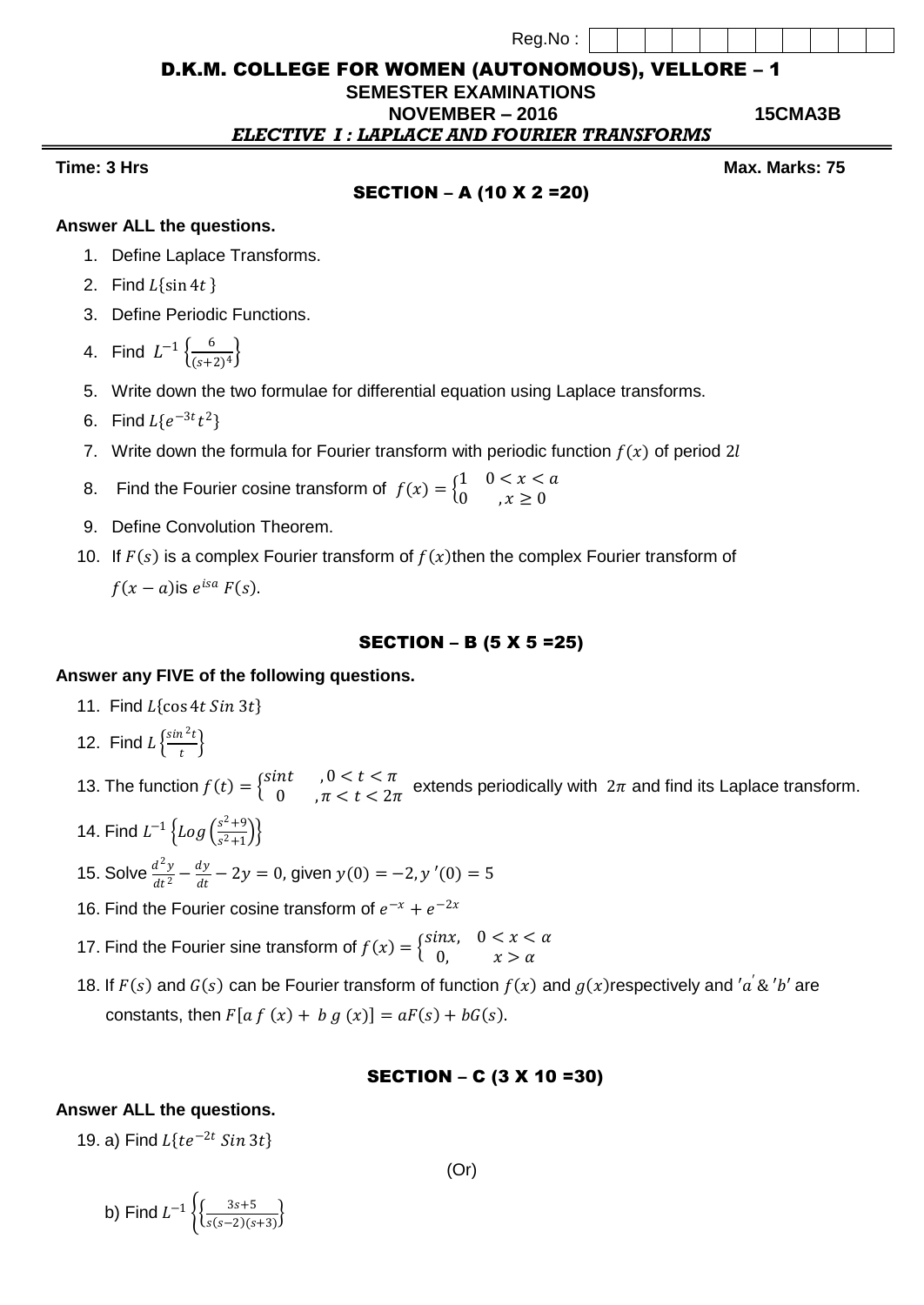| Reg.No: |  |
|---------|--|
|         |  |

# D.K.M. COLLEGE FOR WOMEN (AUTONOMOUS), VELLORE – 1

# **SEMESTER EXAMINATIONS**

 **NOVEMBER – 2016 15CMA3B** *ELECTIVE I : LAPLACE AND FOURIER TRANSFORMS*

# SECTION – A (10 X 2 =20)

**Time: 3** Hrs Max. Marks: 75

### **Answer ALL the questions.**

- 1. Define Laplace Transforms.
- 2. Find  $L\{\sin 4t\}$
- 3. Define Periodic Functions.
- 4. Find  $L^{-1} \left\{ \frac{6}{\sqrt{3}} \right\}$  $\frac{6}{(s+2)^4}$
- 5. Write down the two formulae for differential equation using Laplace transforms.
- 6. Find  $L{e^{-3t}}t^2$
- 7. Write down the formula for Fourier transform with periodic function  $f(x)$  of period 2l
- 8. Find the Fourier cosine transform of  $f(x) = \begin{cases} 1 & 0 < x < a \\ 0 & x > 0 \end{cases}$ 0,  $x \geq 0$
- 9. Define Convolution Theorem.
- 10. If  $F(s)$  is a complex Fourier transform of  $f(x)$  then the complex Fourier transform of

 $f(x-a)$ is  $e^{isa} F(s)$ .

# SECTION – B (5 X 5 =25)

# **Answer any FIVE of the following questions.**

- 11. Find  $L\{\cos 4t \sin 3t\}$
- 12. Find  $L \frac{\sin^2 t}{t}$  $\frac{1}{t}$
- 13. The function  $f(t) = \begin{cases} \sin t & 0 \leq t \leq \pi \\ 0 & \pi \leq t \leq 2\pi \end{cases}$  $\begin{array}{ll} 0 & 0 & 0 & 0 \\ 0 & \pi < t < 2\pi \end{array}$  extends periodically with  $2\pi$  and find its Laplace transform.
- 14. Find  $L^{-1} \left\{ Log \left( \frac{s^2 + 9}{s^2 + 1} \right) \right\}$  $\frac{s}{s^2+1}$
- 15. Solve  $\frac{d^2y}{dt^2}$  $\frac{d^2y}{dt^2} - \frac{dy}{dt}$  $\frac{dy}{dt} - 2y = 0$ , given  $y(0) = -2$ ,  $y'(0) = 5$
- 16. Find the Fourier cosine transform of  $e^{-x} + e^{-2x}$
- 17. Find the Fourier sine transform of  $f(x) = \begin{cases} \sin x, & 0 < x < \alpha \\ 0, & x > \alpha \end{cases}$  $0, \quad x > \alpha$
- 18. If  $F(s)$  and  $G(s)$  can be Fourier transform of function  $f(x)$  and  $g(x)$ respectively and 'a' & 'b' are constants, then  $F[a f (x) + b g (x)] = aF(s) + bG(s)$ .

# SECTION – C (3 X 10 =30)

# **Answer ALL the questions.**

19. a) Find  $L\{te^{-2t} \, Sin \, 3t\}$ 

b) Find  $L^{-1} \left\{ \frac{3s+5}{s(s-2)(s-1)} \right\}$  $\frac{3s+3}{s(s-2)(s+3)}$  (Or)